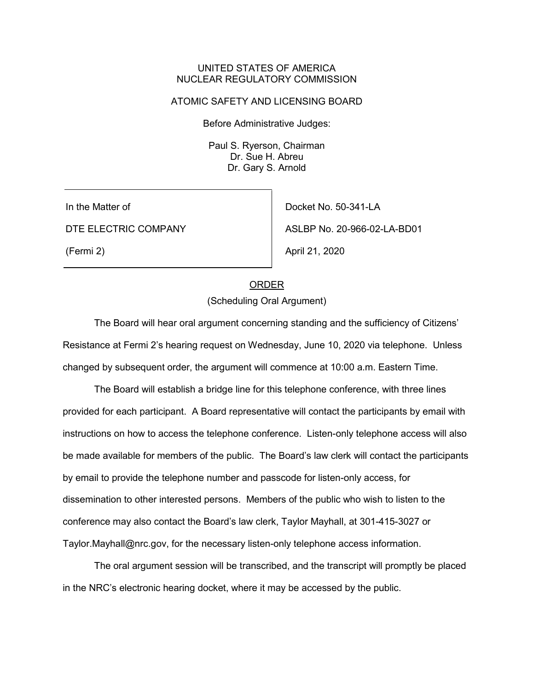#### UNITED STATES OF AMERICA NUCLEAR REGULATORY COMMISSION

#### ATOMIC SAFETY AND LICENSING BOARD

Before Administrative Judges:

Paul S. Ryerson, Chairman Dr. Sue H. Abreu Dr. Gary S. Arnold

In the Matter of

DTE ELECTRIC COMPANY

(Fermi 2)

Docket No. 50-341-LA ASLBP No. 20-966-02-LA-BD01 April 21, 2020

## ORDER

(Scheduling Oral Argument)

The Board will hear oral argument concerning standing and the sufficiency of Citizens' Resistance at Fermi 2's hearing request on Wednesday, June 10, 2020 via telephone. Unless changed by subsequent order, the argument will commence at 10:00 a.m. Eastern Time.

The Board will establish a bridge line for this telephone conference, with three lines provided for each participant. A Board representative will contact the participants by email with instructions on how to access the telephone conference. Listen-only telephone access will also be made available for members of the public. The Board's law clerk will contact the participants by email to provide the telephone number and passcode for listen-only access, for dissemination to other interested persons. Members of the public who wish to listen to the conference may also contact the Board's law clerk, Taylor Mayhall, at 301-415-3027 or Taylor.Mayhall@nrc.gov, for the necessary listen-only telephone access information.

The oral argument session will be transcribed, and the transcript will promptly be placed in the NRC's electronic hearing docket, where it may be accessed by the public.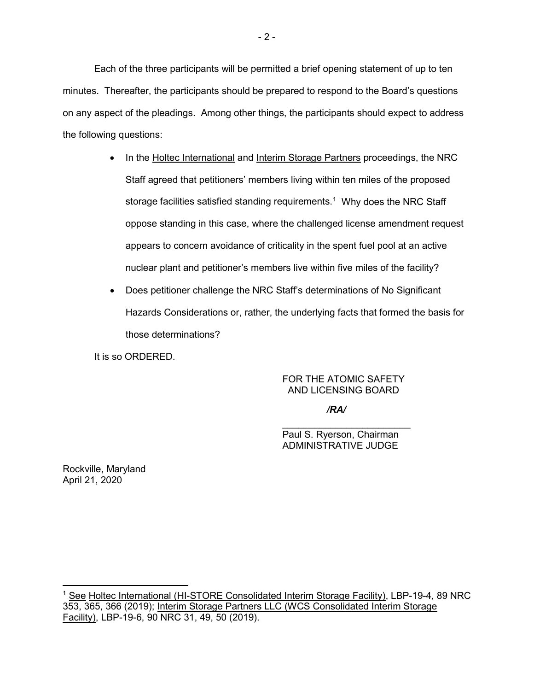Each of the three participants will be permitted a brief opening statement of up to ten minutes. Thereafter, the participants should be prepared to respond to the Board's questions on any aspect of the pleadings. Among other things, the participants should expect to address the following questions:

- In the Holtec International and Interim Storage Partners proceedings, the NRC Staff agreed that petitioners' members living within ten miles of the proposed storage facilities satisfied standing requirements. $^{\rm 1}$  $^{\rm 1}$  $^{\rm 1}$  Why does the NRC Staff oppose standing in this case, where the challenged license amendment request appears to concern avoidance of criticality in the spent fuel pool at an active nuclear plant and petitioner's members live within five miles of the facility?
- Does petitioner challenge the NRC Staff's determinations of No Significant Hazards Considerations or, rather, the underlying facts that formed the basis for those determinations?

It is so ORDERED.

## FOR THE ATOMIC SAFETY AND LICENSING BOARD

## */RA/*

 $\mathcal{L}_\text{max}$  , which is a set of the set of the set of the set of the set of the set of the set of the set of the set of the set of the set of the set of the set of the set of the set of the set of the set of the set of Paul S. Ryerson, Chairman ADMINISTRATIVE JUDGE

Rockville, Maryland April 21, 2020

<span id="page-1-0"></span><sup>&</sup>lt;sup>1</sup> See Holtec International (HI-STORE Consolidated Interim Storage Facility), LBP-19-4, 89 NRC 353, 365, 366 (2019); Interim Storage Partners LLC (WCS Consolidated Interim Storage Facility), LBP-19-6, 90 NRC 31, 49, 50 (2019).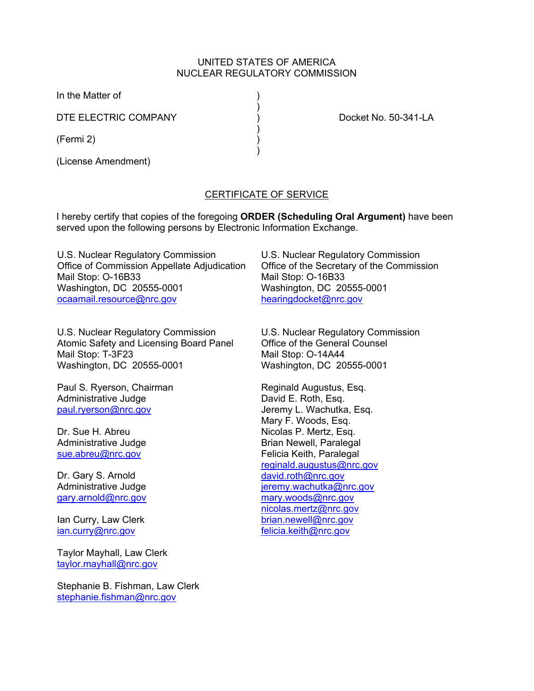#### UNITED STATES OF AMERICA NUCLEAR REGULATORY COMMISSION

In the Matter of )

DTE ELECTRIC COMPANY  $\overrightarrow{)}$  Docket No. 50-341-LA

 $)$ (Fermi 2) )

(License Amendment)

# CERTIFICATE OF SERVICE

I hereby certify that copies of the foregoing **ORDER (Scheduling Oral Argument)** have been served upon the following persons by Electronic Information Exchange.

U.S. Nuclear Regulatory Commission Office of Commission Appellate Adjudication Mail Stop: O-16B33 Washington, DC 20555-0001 ocaamail.resource@nrc.gov

 $)$ 

 $)$ 

U.S. Nuclear Regulatory Commission Atomic Safety and Licensing Board Panel Mail Stop: T-3F23 Washington, DC 20555-0001

Paul S. Ryerson, Chairman Administrative Judge paul.ryerson@nrc.gov

Dr. Sue H. Abreu Administrative Judge sue.abreu@nrc.gov

Dr. Gary S. Arnold Administrative Judge gary.arnold@nrc.gov

Ian Curry, Law Clerk ian.curry@nrc.gov

Taylor Mayhall, Law Clerk taylor.mayhall@nrc.gov

Stephanie B. Fishman, Law Clerk stephanie.fishman@nrc.gov

U.S. Nuclear Regulatory Commission Office of the Secretary of the Commission Mail Stop: O-16B33 Washington, DC 20555-0001 hearingdocket@nrc.gov

U.S. Nuclear Regulatory Commission Office of the General Counsel Mail Stop: O-14A44 Washington, DC 20555-0001

Reginald Augustus, Esq. David E. Roth, Esq. Jeremy L. Wachutka, Esq. Mary F. Woods, Esq. Nicolas P. Mertz, Esq. Brian Newell, Paralegal Felicia Keith, Paralegal reginald.augustus@nrc.gov david.roth@nrc.gov jeremy.wachutka@nrc.gov mary.woods@nrc.gov nicolas.mertz@nrc.gov brian.newell@nrc.gov felicia.keith@nrc.gov